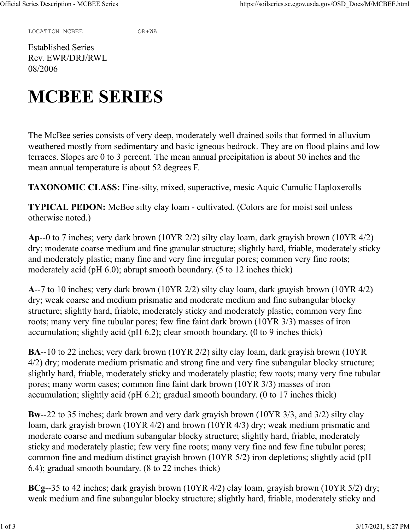LOCATION MCBEE OR+WA

Established Series Rev. EWR/DRJ/RWL 08/2006

## **MCBEE SERIES**

The McBee series consists of very deep, moderately well drained soils that formed in alluvium weathered mostly from sedimentary and basic igneous bedrock. They are on flood plains and low terraces. Slopes are 0 to 3 percent. The mean annual precipitation is about 50 inches and the mean annual temperature is about 52 degrees F.

**TAXONOMIC CLASS:** Fine-silty, mixed, superactive, mesic Aquic Cumulic Haploxerolls

**TYPICAL PEDON:** McBee silty clay loam - cultivated. (Colors are for moist soil unless otherwise noted.)

**Ap**--0 to 7 inches; very dark brown (10YR 2/2) silty clay loam, dark grayish brown (10YR 4/2) dry; moderate coarse medium and fine granular structure; slightly hard, friable, moderately sticky and moderately plastic; many fine and very fine irregular pores; common very fine roots; moderately acid (pH 6.0); abrupt smooth boundary. (5 to 12 inches thick)

**A**--7 to 10 inches; very dark brown (10YR 2/2) silty clay loam, dark grayish brown (10YR 4/2) dry; weak coarse and medium prismatic and moderate medium and fine subangular blocky structure; slightly hard, friable, moderately sticky and moderately plastic; common very fine roots; many very fine tubular pores; few fine faint dark brown (10YR 3/3) masses of iron accumulation; slightly acid (pH 6.2); clear smooth boundary. (0 to 9 inches thick)

**BA**--10 to 22 inches; very dark brown (10YR 2/2) silty clay loam, dark grayish brown (10YR 4/2) dry; moderate medium prismatic and strong fine and very fine subangular blocky structure; slightly hard, friable, moderately sticky and moderately plastic; few roots; many very fine tubular pores; many worm cases; common fine faint dark brown (10YR 3/3) masses of iron accumulation; slightly acid (pH 6.2); gradual smooth boundary. (0 to 17 inches thick)

**Bw**--22 to 35 inches; dark brown and very dark grayish brown (10YR 3/3, and 3/2) silty clay loam, dark grayish brown (10YR 4/2) and brown (10YR 4/3) dry; weak medium prismatic and moderate coarse and medium subangular blocky structure; slightly hard, friable, moderately sticky and moderately plastic; few very fine roots; many very fine and few fine tubular pores; common fine and medium distinct grayish brown (10YR 5/2) iron depletions; slightly acid (pH 6.4); gradual smooth boundary. (8 to 22 inches thick)

**BCg**--35 to 42 inches; dark grayish brown (10YR 4/2) clay loam, grayish brown (10YR 5/2) dry; weak medium and fine subangular blocky structure; slightly hard, friable, moderately sticky and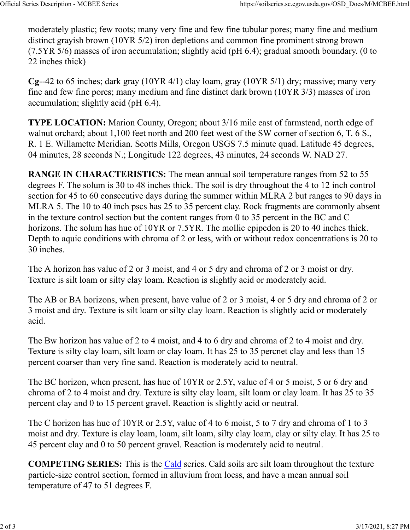moderately plastic; few roots; many very fine and few fine tubular pores; many fine and medium distinct grayish brown (10YR 5/2) iron depletions and common fine prominent strong brown  $(7.5YR 5/6)$  masses of iron accumulation; slightly acid (pH 6.4); gradual smooth boundary. (0 to 22 inches thick)

**Cg**--42 to 65 inches; dark gray (10YR 4/1) clay loam, gray (10YR 5/1) dry; massive; many very fine and few fine pores; many medium and fine distinct dark brown (10YR 3/3) masses of iron accumulation; slightly acid (pH 6.4).

**TYPE LOCATION:** Marion County, Oregon; about 3/16 mile east of farmstead, north edge of walnut orchard; about 1,100 feet north and 200 feet west of the SW corner of section 6, T. 6 S., R. 1 E. Willamette Meridian. Scotts Mills, Oregon USGS 7.5 minute quad. Latitude 45 degrees, 04 minutes, 28 seconds N.; Longitude 122 degrees, 43 minutes, 24 seconds W. NAD 27.

**RANGE IN CHARACTERISTICS:** The mean annual soil temperature ranges from 52 to 55 degrees F. The solum is 30 to 48 inches thick. The soil is dry throughout the 4 to 12 inch control section for 45 to 60 consecutive days during the summer within MLRA 2 but ranges to 90 days in MLRA 5. The 10 to 40 inch pscs has 25 to 35 percent clay. Rock fragments are commonly absent in the texture control section but the content ranges from 0 to 35 percent in the BC and C horizons. The solum has hue of 10YR or 7.5YR. The mollic epipedon is 20 to 40 inches thick. Depth to aquic conditions with chroma of 2 or less, with or without redox concentrations is 20 to 30 inches.

The A horizon has value of 2 or 3 moist, and 4 or 5 dry and chroma of 2 or 3 moist or dry. Texture is silt loam or silty clay loam. Reaction is slightly acid or moderately acid.

The AB or BA horizons, when present, have value of 2 or 3 moist, 4 or 5 dry and chroma of 2 or 3 moist and dry. Texture is silt loam or silty clay loam. Reaction is slightly acid or moderately acid.

The Bw horizon has value of 2 to 4 moist, and 4 to 6 dry and chroma of 2 to 4 moist and dry. Texture is silty clay loam, silt loam or clay loam. It has 25 to 35 percnet clay and less than 15 percent coarser than very fine sand. Reaction is moderately acid to neutral.

The BC horizon, when present, has hue of 10YR or 2.5Y, value of 4 or 5 moist, 5 or 6 dry and chroma of 2 to 4 moist and dry. Texture is silty clay loam, silt loam or clay loam. It has 25 to 35 percent clay and 0 to 15 percent gravel. Reaction is slightly acid or neutral.

The C horizon has hue of 10YR or 2.5Y, value of 4 to 6 moist, 5 to 7 dry and chroma of 1 to 3 moist and dry. Texture is clay loam, loam, silt loam, silty clay loam, clay or silty clay. It has 25 to 45 percent clay and 0 to 50 percent gravel. Reaction is moderately acid to neutral.

**COMPETING SERIES:** This is the Cald series. Cald soils are silt loam throughout the texture particle-size control section, formed in alluvium from loess, and have a mean annual soil temperature of 47 to 51 degrees F.